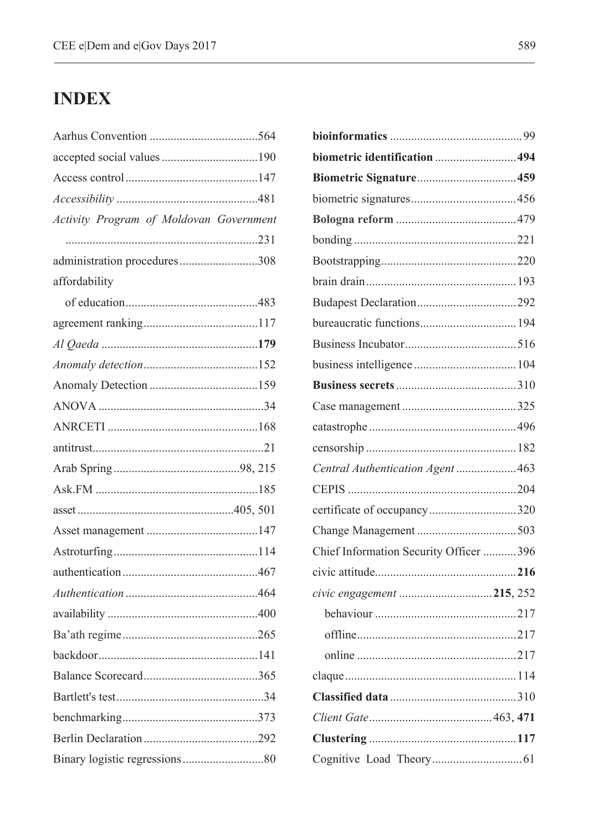## **INDEX**

| accepted social values190               |     |
|-----------------------------------------|-----|
|                                         |     |
|                                         |     |
| Activity Program of Moldovan Government |     |
|                                         |     |
| administration procedures308            |     |
| affordability                           |     |
|                                         |     |
|                                         |     |
|                                         |     |
|                                         |     |
|                                         |     |
|                                         |     |
|                                         |     |
|                                         |     |
|                                         |     |
|                                         |     |
|                                         |     |
|                                         |     |
|                                         |     |
|                                         |     |
|                                         |     |
|                                         |     |
|                                         |     |
|                                         |     |
|                                         | 365 |
|                                         |     |
|                                         |     |
|                                         |     |
|                                         |     |

| biometric identification  494          |  |
|----------------------------------------|--|
|                                        |  |
|                                        |  |
|                                        |  |
|                                        |  |
|                                        |  |
|                                        |  |
|                                        |  |
|                                        |  |
|                                        |  |
|                                        |  |
|                                        |  |
|                                        |  |
|                                        |  |
|                                        |  |
| Central Authentication Agent  463      |  |
|                                        |  |
| certificate of occupancy320            |  |
|                                        |  |
| Chief Information Security Officer 396 |  |
|                                        |  |
| civic engagement 215, 252              |  |
|                                        |  |
|                                        |  |
|                                        |  |
|                                        |  |
|                                        |  |
|                                        |  |
|                                        |  |
|                                        |  |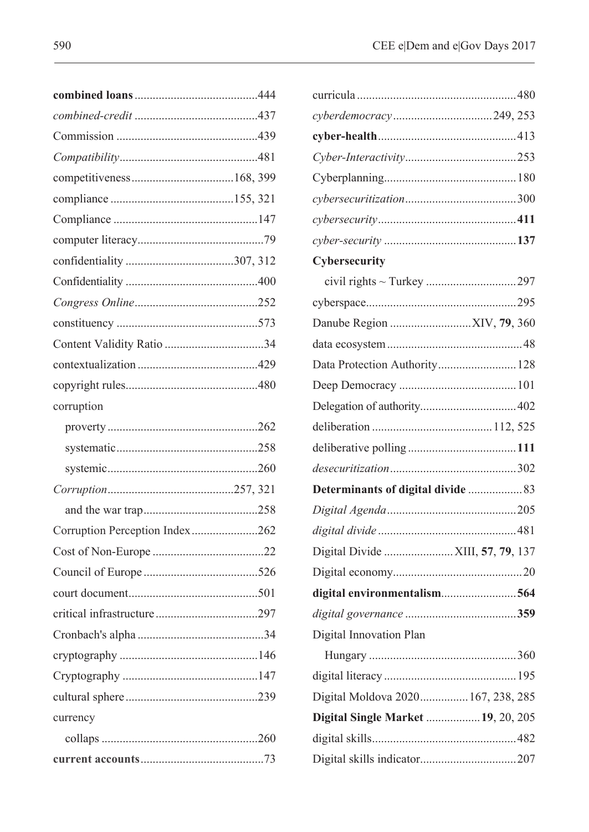| corruption                     |    |
|--------------------------------|----|
|                                |    |
|                                |    |
|                                |    |
|                                |    |
|                                |    |
| Corruption Perception Index262 |    |
|                                |    |
|                                |    |
|                                |    |
|                                |    |
|                                | 34 |
|                                |    |
|                                |    |
|                                |    |
| currency                       |    |
|                                |    |
|                                |    |

| Cybersecurity                      |  |
|------------------------------------|--|
|                                    |  |
|                                    |  |
|                                    |  |
|                                    |  |
| Data Protection Authority 128      |  |
|                                    |  |
|                                    |  |
|                                    |  |
|                                    |  |
|                                    |  |
| Determinants of digital divide  83 |  |
|                                    |  |
|                                    |  |
| Digital Divide  XIII, 57, 79, 137  |  |
|                                    |  |
| digital environmentalism564        |  |
|                                    |  |
| Digital Innovation Plan            |  |
|                                    |  |
|                                    |  |
| Digital Moldova 2020 167, 238, 285 |  |
| Digital Single Market  19, 20, 205 |  |
|                                    |  |
|                                    |  |
|                                    |  |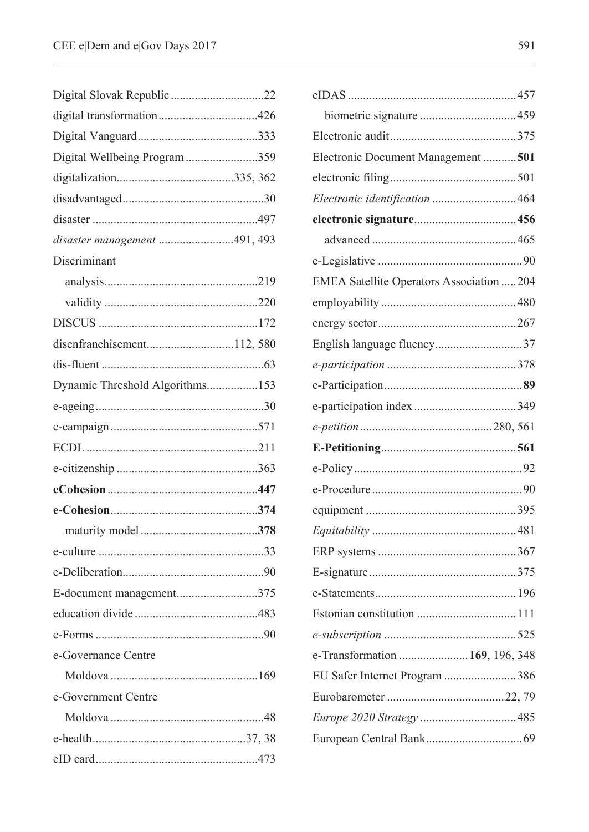| Digital Wellbeing Program 359   |    |
|---------------------------------|----|
|                                 |    |
|                                 |    |
|                                 |    |
| disaster management 491, 493    |    |
| Discriminant                    |    |
|                                 |    |
|                                 |    |
|                                 |    |
| disenfranchisement112,580       |    |
|                                 |    |
| Dynamic Threshold Algorithms153 |    |
|                                 |    |
|                                 |    |
|                                 |    |
|                                 |    |
|                                 |    |
|                                 |    |
|                                 |    |
|                                 |    |
|                                 |    |
| E-document management375        |    |
|                                 |    |
| $e$ -Forms                      | 90 |
| e-Governance Centre             |    |
|                                 |    |
| e-Government Centre             |    |
|                                 |    |
|                                 |    |
|                                 |    |
|                                 |    |

| Electronic Document Management 501        |
|-------------------------------------------|
|                                           |
| Electronic identification 464             |
|                                           |
|                                           |
|                                           |
| EMEA Satellite Operators Association  204 |
|                                           |
|                                           |
| English language fluency37                |
|                                           |
|                                           |
|                                           |
|                                           |
|                                           |
|                                           |
|                                           |
|                                           |
|                                           |
|                                           |
|                                           |
|                                           |
|                                           |
|                                           |
|                                           |
| e-Transformation  169, 196, 348           |
| EU Safer Internet Program 386             |
|                                           |
|                                           |
|                                           |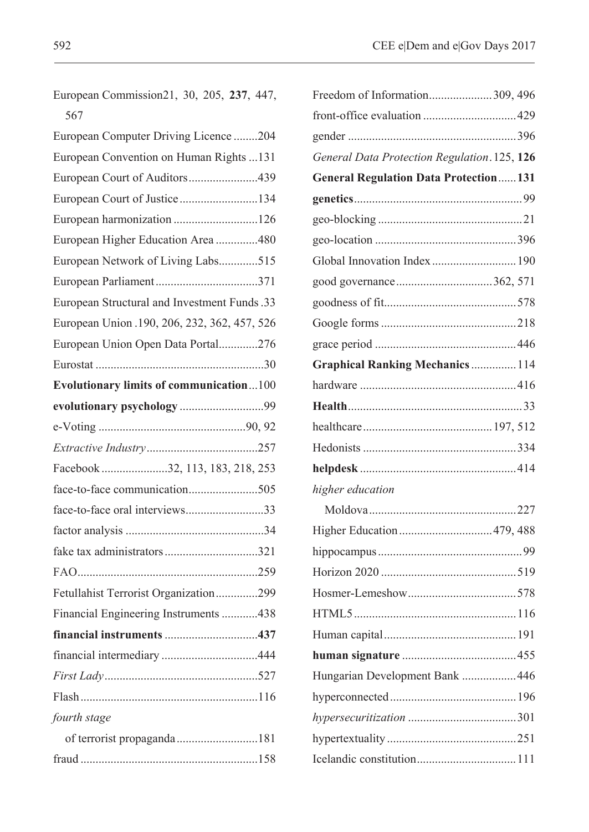| Freedom of Information309, 496               |
|----------------------------------------------|
|                                              |
|                                              |
| General Data Protection Regulation. 125, 126 |
| <b>General Regulation Data Protection131</b> |
|                                              |
|                                              |
|                                              |
|                                              |
|                                              |
|                                              |
|                                              |
|                                              |
| <b>Graphical Ranking Mechanics  114</b>      |
|                                              |
|                                              |
|                                              |
|                                              |
|                                              |
|                                              |
|                                              |
|                                              |
|                                              |
|                                              |
|                                              |
|                                              |
|                                              |
|                                              |
| Hungarian Development Bank  446              |
|                                              |
|                                              |
|                                              |
|                                              |
|                                              |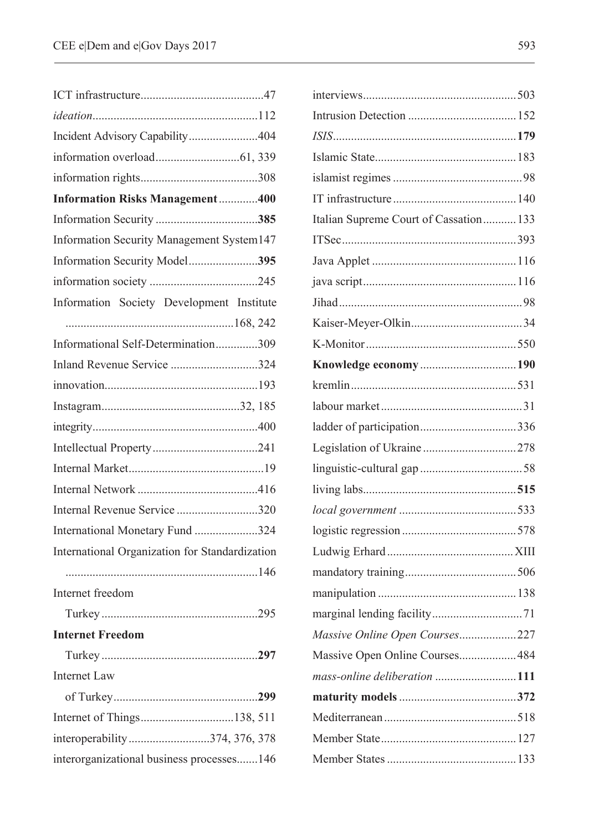| Incident Advisory Capability404                |
|------------------------------------------------|
|                                                |
|                                                |
| <b>Information Risks Management400</b>         |
|                                                |
| Information Security Management System147      |
| Information Security Model395                  |
|                                                |
| Information Society Development Institute      |
|                                                |
| Informational Self-Determination309            |
| Inland Revenue Service 324                     |
|                                                |
|                                                |
|                                                |
|                                                |
|                                                |
|                                                |
| Internal Revenue Service 320                   |
| International Monetary Fund 324                |
| International Organization for Standardization |
|                                                |
| Internet freedom                               |
|                                                |
| <b>Internet Freedom</b>                        |
|                                                |
| Internet Law                                   |
|                                                |
| Internet of Things138, 511                     |
| interoperability374, 376, 378                  |
| interorganizational business processes146      |

| Italian Supreme Court of Cassation 133 |  |
|----------------------------------------|--|
|                                        |  |
|                                        |  |
|                                        |  |
|                                        |  |
|                                        |  |
|                                        |  |
|                                        |  |
|                                        |  |
|                                        |  |
|                                        |  |
|                                        |  |
|                                        |  |
|                                        |  |
|                                        |  |
|                                        |  |
|                                        |  |
|                                        |  |
|                                        |  |
|                                        |  |
| Massive Online Open Courses227         |  |
| Massive Open Online Courses484         |  |
| mass-online deliberation 111           |  |
|                                        |  |
|                                        |  |
|                                        |  |
|                                        |  |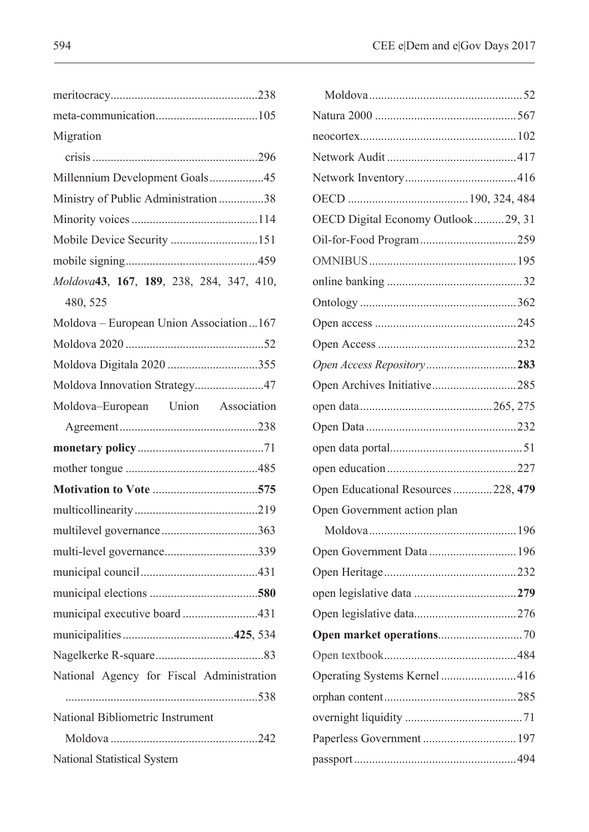| Migration                                 |
|-------------------------------------------|
|                                           |
| Millennium Development Goals45            |
| Ministry of Public Administration 38      |
|                                           |
| Mobile Device Security 151                |
|                                           |
| Moldova43, 167, 189, 238, 284, 347, 410,  |
| 480, 525                                  |
| Moldova - European Union Association167   |
|                                           |
| Moldova Digitala 2020 355                 |
| Moldova Innovation Strategy47             |
| Moldova-European Union Association        |
|                                           |
|                                           |
|                                           |
|                                           |
|                                           |
| multilevel governance363                  |
| multi-level governance339                 |
|                                           |
|                                           |
| municipal executive board431              |
|                                           |
|                                           |
| National Agency for Fiscal Administration |
|                                           |
| National Bibliometric Instrument          |
|                                           |
| National Statistical System               |

| OECD Digital Economy Outlook29, 31  |    |
|-------------------------------------|----|
|                                     |    |
|                                     |    |
|                                     |    |
|                                     |    |
|                                     |    |
|                                     |    |
| Open Access Repository283           |    |
| Open Archives Initiative285         |    |
|                                     |    |
|                                     |    |
|                                     |    |
|                                     |    |
| Open Educational Resources 228, 479 |    |
| Open Government action plan         |    |
|                                     |    |
|                                     |    |
|                                     |    |
|                                     |    |
|                                     |    |
|                                     | 70 |
|                                     |    |
|                                     |    |
|                                     |    |
|                                     |    |
| Paperless Government  197           |    |
|                                     |    |
|                                     |    |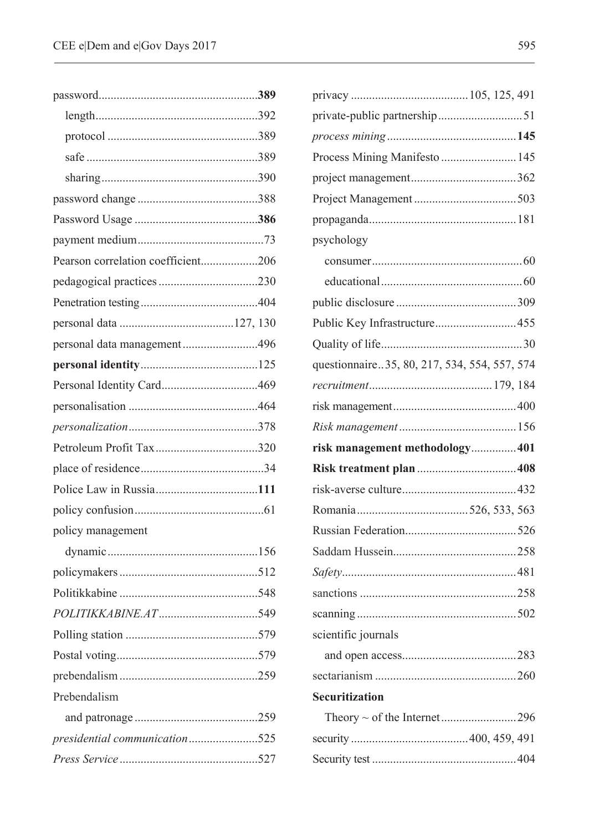| Pearson correlation coefficient206 |  |
|------------------------------------|--|
|                                    |  |
|                                    |  |
|                                    |  |
| personal data management496        |  |
|                                    |  |
|                                    |  |
|                                    |  |
|                                    |  |
|                                    |  |
|                                    |  |
|                                    |  |
|                                    |  |
| policy management                  |  |
|                                    |  |
|                                    |  |
|                                    |  |
|                                    |  |
| 579                                |  |
|                                    |  |
|                                    |  |
| Prebendalism                       |  |
|                                    |  |
| presidential communication525      |  |
|                                    |  |
|                                    |  |

| Process Mining Manifesto  145                |  |
|----------------------------------------------|--|
|                                              |  |
|                                              |  |
|                                              |  |
| psychology                                   |  |
|                                              |  |
|                                              |  |
|                                              |  |
|                                              |  |
|                                              |  |
| questionnaire35, 80, 217, 534, 554, 557, 574 |  |
|                                              |  |
|                                              |  |
|                                              |  |
| risk management methodology 401              |  |
|                                              |  |
|                                              |  |
|                                              |  |
|                                              |  |
|                                              |  |
|                                              |  |
|                                              |  |
|                                              |  |
| scientific journals                          |  |
|                                              |  |
|                                              |  |
| <b>Securitization</b>                        |  |
|                                              |  |
|                                              |  |
|                                              |  |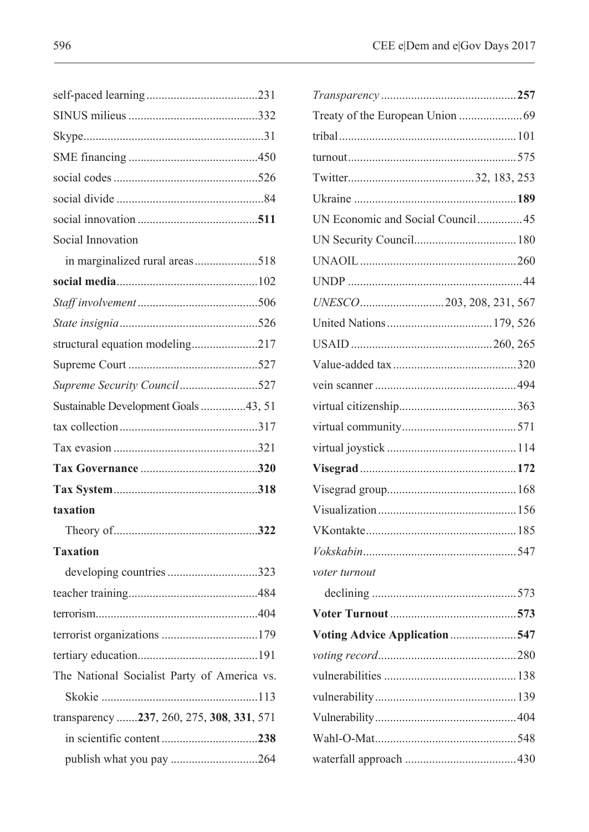| UN Economic and Social Council45 |  |
|----------------------------------|--|
|                                  |  |
|                                  |  |
|                                  |  |
|                                  |  |
|                                  |  |
|                                  |  |
|                                  |  |
|                                  |  |
|                                  |  |
|                                  |  |
|                                  |  |
|                                  |  |
|                                  |  |
|                                  |  |
|                                  |  |
|                                  |  |
| voter turnout                    |  |
|                                  |  |
|                                  |  |
| Voting Advice Application547     |  |
|                                  |  |
|                                  |  |
|                                  |  |
|                                  |  |
|                                  |  |
|                                  |  |
|                                  |  |